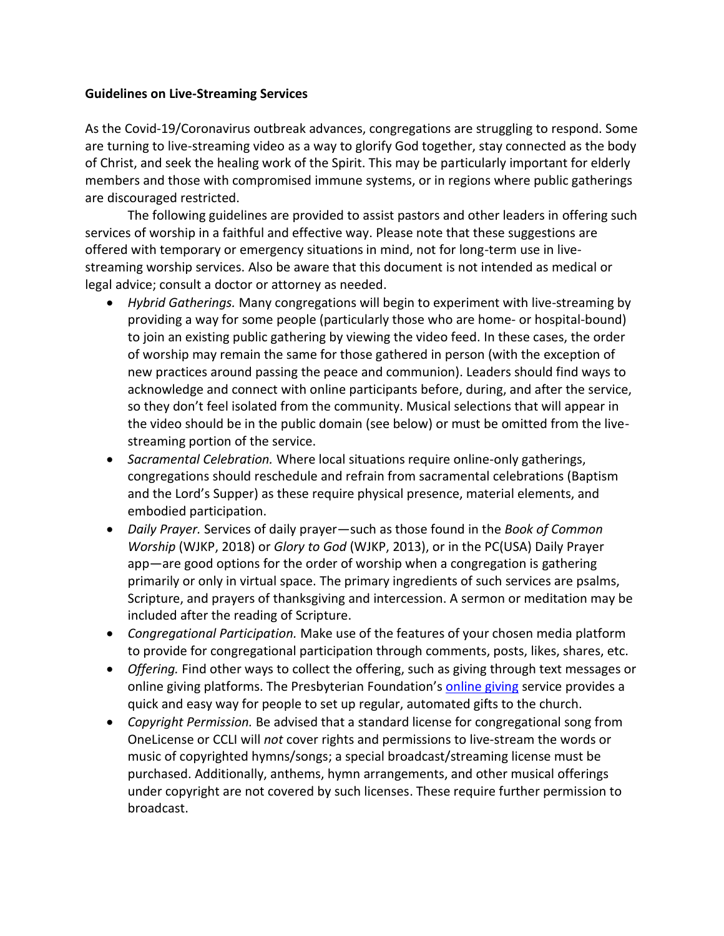## **Guidelines on Live-Streaming Services**

As the Covid-19/Coronavirus outbreak advances, congregations are struggling to respond. Some are turning to live-streaming video as a way to glorify God together, stay connected as the body of Christ, and seek the healing work of the Spirit. This may be particularly important for elderly members and those with compromised immune systems, or in regions where public gatherings are discouraged restricted.

The following guidelines are provided to assist pastors and other leaders in offering such services of worship in a faithful and effective way. Please note that these suggestions are offered with temporary or emergency situations in mind, not for long-term use in livestreaming worship services. Also be aware that this document is not intended as medical or legal advice; consult a doctor or attorney as needed.

- *Hybrid Gatherings.* Many congregations will begin to experiment with live-streaming by providing a way for some people (particularly those who are home- or hospital-bound) to join an existing public gathering by viewing the video feed. In these cases, the order of worship may remain the same for those gathered in person (with the exception of new practices around passing the peace and communion). Leaders should find ways to acknowledge and connect with online participants before, during, and after the service, so they don't feel isolated from the community. Musical selections that will appear in the video should be in the public domain (see below) or must be omitted from the livestreaming portion of the service.
- *Sacramental Celebration.* Where local situations require online-only gatherings, congregations should reschedule and refrain from sacramental celebrations (Baptism and the Lord's Supper) as these require physical presence, material elements, and embodied participation.
- *Daily Prayer.* Services of daily prayer—such as those found in the *Book of Common Worship* (WJKP, 2018) or *Glory to God* (WJKP, 2013), or in the PC(USA) Daily Prayer app—are good options for the order of worship when a congregation is gathering primarily or only in virtual space. The primary ingredients of such services are psalms, Scripture, and prayers of thanksgiving and intercession. A sermon or meditation may be included after the reading of Scripture.
- *Congregational Participation.* Make use of the features of your chosen media platform to provide for congregational participation through comments, posts, likes, shares, etc.
- *Offering.* Find other ways to collect the offering, such as giving through text messages or [online giving](https://www.presbyterianfoundation.org/onlinegiving/) platforms. The Presbyterian Foundation's online giving service provides a quick and easy way for people to set up regular, automated gifts to the church.
- *Copyright Permission.* Be advised that a standard license for congregational song from OneLicense or CCLI will *not* cover rights and permissions to live-stream the words or music of copyrighted hymns/songs; a special broadcast/streaming license must be purchased. Additionally, anthems, hymn arrangements, and other musical offerings under copyright are not covered by such licenses. These require further permission to broadcast.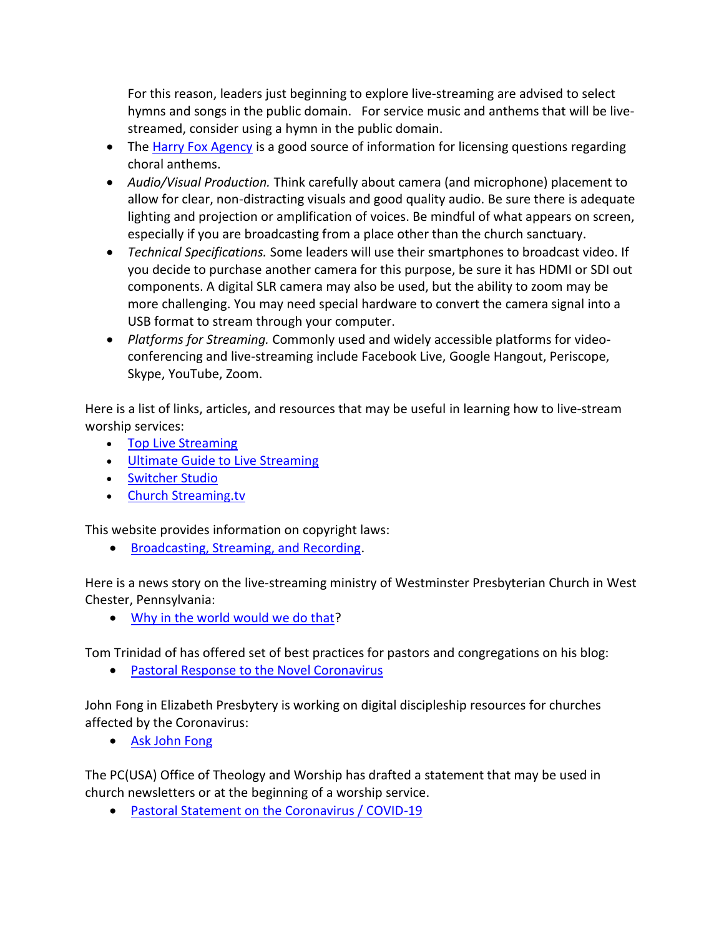For this reason, leaders just beginning to explore live-streaming are advised to select hymns and songs in the public domain. For service music and anthems that will be livestreamed, consider using a hymn in the public domain.

- The [Harry Fox Agency](https://www.harryfox.com/) is a good source of information for licensing questions regarding choral anthems.
- *Audio/Visual Production.* Think carefully about camera (and microphone) placement to allow for clear, non-distracting visuals and good quality audio. Be sure there is adequate lighting and projection or amplification of voices. Be mindful of what appears on screen, especially if you are broadcasting from a place other than the church sanctuary.
- *Technical Specifications.* Some leaders will use their smartphones to broadcast video. If you decide to purchase another camera for this purpose, be sure it has HDMI or SDI out components. A digital SLR camera may also be used, but the ability to zoom may be more challenging. You may need special hardware to convert the camera signal into a USB format to stream through your computer.
- *Platforms for Streaming.* Commonly used and widely accessible platforms for videoconferencing and live-streaming include Facebook Live, Google Hangout, Periscope, Skype, YouTube, Zoom.

Here is a list of links, articles, and resources that may be useful in learning how to live-stream worship services:

- [Top Live Streaming](https://www.sharefaith.com/blog/top-live-streaming-services-church/)
- [Ultimate Guide to Live Streaming](https://reachrightstudios.com/ultimate-guide-live-streaming-church-services/)
- [Switcher Studio](https://www.switcherstudio.com/worship?utm_term=live%20streaming%20church%20service&utm_campaign=Worship+Live+Video&utm_source=adwords&utm_medium=ppc&hsa_src=g&hsa_grp=101065375664&hsa_mt=e&hsa_ad=417759099094&hsa_acc=9468299453&hsa_cam=1392931882&hsa_net=adwords&hsa_ver=3&hsa_tgt=kwd-295848585520&hsa_kw=live%20streaming%20church%20service&gclid=Cj0KCQjw9ZzzBRCKARIsANwXaeLCf_7ira-TOcwmFkRtQdA_maf7lVeJaNRr-HT9ou9MNzRp8nuOlqsaAjtbEALw_wcB)
- [Church Streaming.tv](https://churchstreaming.tv/?utm_medium=ppc&utm_campaign=Livestreaming&utm_source=adwords&utm_term=church%20live%20streaming%20services&hsa_ad=222084379103&hsa_mt=p&hsa_tgt=kwd-535938926112&hsa_src=g&hsa_ver=3&hsa_grp=17484555667&hsa_kw=church%20live%20streaming%20services&hsa_cam=142828387&hsa_acc=8975554682&hsa_net=adwords&gclid=Cj0KCQjw9ZzzBRCKARIsANwXaeLeb1xPqd_BRpsLX0Mdc4SaIKPuevQ93Awf_f6AQeT5iEPMt2xNSrUaAivBEALw_wcB)

This website provides information on copyright laws:

• [Broadcasting, Streaming, and Recording.](https://www.brotherhoodmutual.com/resources/safety-library/risk-management-articles/administrative-staff-and-finance/documents-and-data/complying-with-copyright-laws/)

Here is a news story on the live-streaming ministry of Westminster Presbyterian Church in West Chester, Pennsylvania:

• [Why in the world would we do that?](https://www.presbyterianmission.org/story/why-in-the-world-would-we-do-that/)

Tom Trinidad of has offered set of best practices for pastors and congregations on his blog:

• [Pastoral Response to the Novel Coronavirus](https://tomtrinidad.wordpress.com/2020/03/10/pastoral-response-to-the-novel-coronavirus/)

John Fong in Elizabeth Presbytery is working on digital discipleship resources for churches affected by the Coronavirus:

• [Ask John Fong](https://www.facebook.com/AskJohnFong/)

The PC(USA) Office of Theology and Worship has drafted a statement that may be used in church newsletters or at the beginning of a worship service.

• [Pastoral Statement on the Coronavirus / COVID-19](https://www.presbyterianmission.org/wp-content/uploads/Coronovirus-Covid-19-Statement3.pdf)